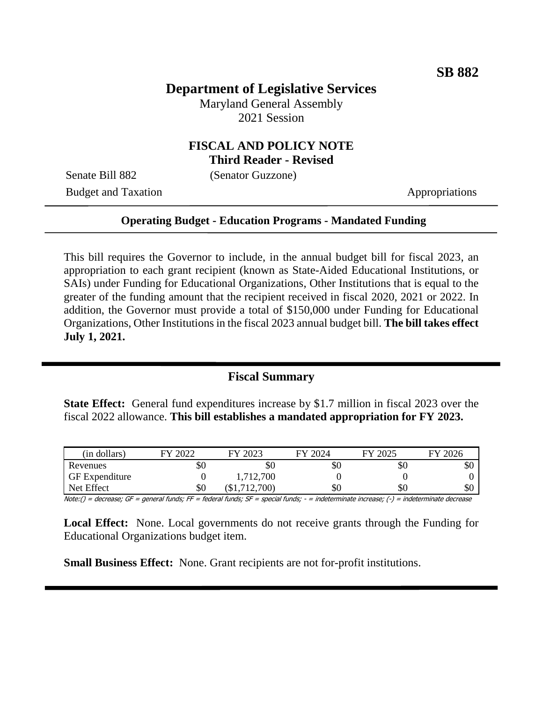## **Department of Legislative Services**

Maryland General Assembly 2021 Session

#### **FISCAL AND POLICY NOTE Third Reader - Revised**

Senate Bill 882 (Senator Guzzone)

Budget and Taxation Appropriations

#### **Operating Budget - Education Programs - Mandated Funding**

This bill requires the Governor to include, in the annual budget bill for fiscal 2023, an appropriation to each grant recipient (known as State-Aided Educational Institutions, or SAIs) under Funding for Educational Organizations, Other Institutions that is equal to the greater of the funding amount that the recipient received in fiscal 2020, 2021 or 2022. In addition, the Governor must provide a total of \$150,000 under Funding for Educational Organizations, Other Institutions in the fiscal 2023 annual budget bill. **The bill takes effect July 1, 2021.**

#### **Fiscal Summary**

**State Effect:** General fund expenditures increase by \$1.7 million in fiscal 2023 over the fiscal 2022 allowance. **This bill establishes a mandated appropriation for FY 2023.**

| (in dollars)          | 2022<br>ГV. | 2023<br>FY              | - 2024<br>FV | FY 2025 | 2026<br>EV |
|-----------------------|-------------|-------------------------|--------------|---------|------------|
| Revenues              | \$0         | \$0                     | \$0          | dО      | \$0        |
| <b>GF</b> Expenditure |             | 1,712,700               |              |         |            |
| Net Effect            | \$0         | (700)<br>$\overline{1}$ | \$0          | \$0     | \$0        |

Note:() = decrease; GF = general funds; FF = federal funds; SF = special funds; - = indeterminate increase; (-) = indeterminate decrease

**Local Effect:** None. Local governments do not receive grants through the Funding for Educational Organizations budget item.

**Small Business Effect:** None. Grant recipients are not for-profit institutions.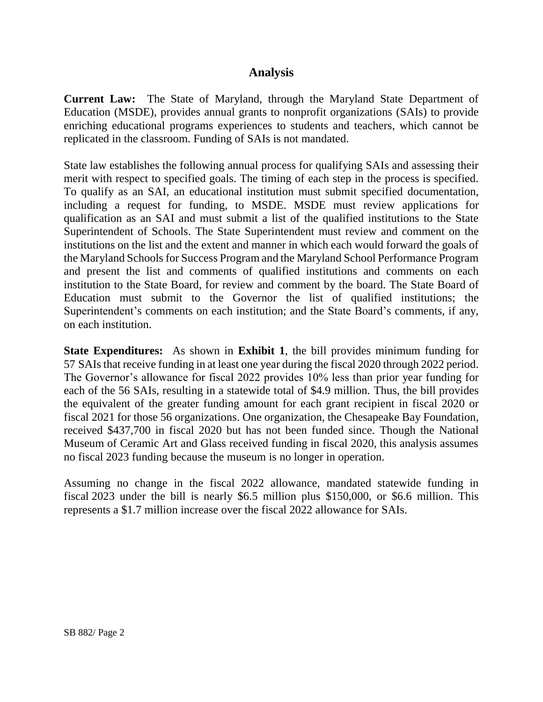### **Analysis**

**Current Law:** The State of Maryland, through the Maryland State Department of Education (MSDE), provides annual grants to nonprofit organizations (SAIs) to provide enriching educational programs experiences to students and teachers, which cannot be replicated in the classroom. Funding of SAIs is not mandated.

State law establishes the following annual process for qualifying SAIs and assessing their merit with respect to specified goals. The timing of each step in the process is specified. To qualify as an SAI, an educational institution must submit specified documentation, including a request for funding, to MSDE. MSDE must review applications for qualification as an SAI and must submit a list of the qualified institutions to the State Superintendent of Schools. The State Superintendent must review and comment on the institutions on the list and the extent and manner in which each would forward the goals of the Maryland Schools for Success Program and the Maryland School Performance Program and present the list and comments of qualified institutions and comments on each institution to the State Board, for review and comment by the board. The State Board of Education must submit to the Governor the list of qualified institutions; the Superintendent's comments on each institution; and the State Board's comments, if any, on each institution.

**State Expenditures:** As shown in **Exhibit 1**, the bill provides minimum funding for 57 SAIsthat receive funding in at least one year during the fiscal 2020 through 2022 period. The Governor's allowance for fiscal 2022 provides 10% less than prior year funding for each of the 56 SAIs, resulting in a statewide total of \$4.9 million. Thus, the bill provides the equivalent of the greater funding amount for each grant recipient in fiscal 2020 or fiscal 2021 for those 56 organizations. One organization, the Chesapeake Bay Foundation, received \$437,700 in fiscal 2020 but has not been funded since. Though the National Museum of Ceramic Art and Glass received funding in fiscal 2020, this analysis assumes no fiscal 2023 funding because the museum is no longer in operation.

Assuming no change in the fiscal 2022 allowance, mandated statewide funding in fiscal 2023 under the bill is nearly \$6.5 million plus \$150,000, or \$6.6 million. This represents a \$1.7 million increase over the fiscal 2022 allowance for SAIs.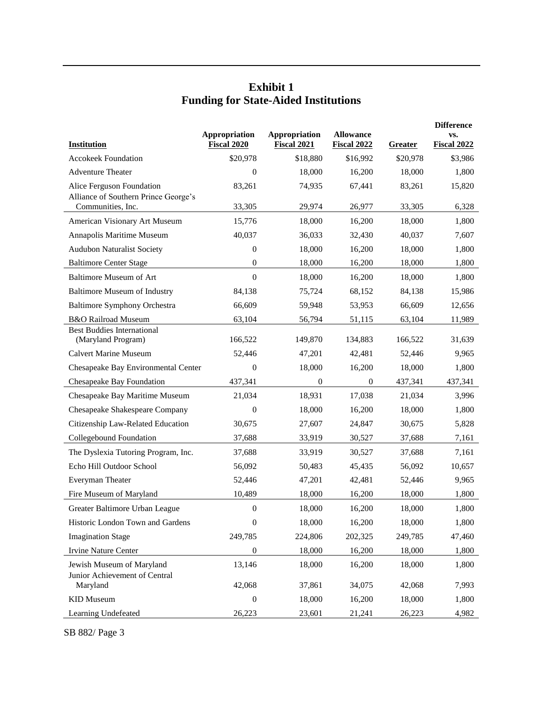## **Exhibit 1 Funding for State-Aided Institutions**

|                                                         |                              |                              |                                        | <b>Difference</b> |                           |
|---------------------------------------------------------|------------------------------|------------------------------|----------------------------------------|-------------------|---------------------------|
| <b>Institution</b>                                      | Appropriation<br>Fiscal 2020 | Appropriation<br>Fiscal 2021 | <b>Allowance</b><br><b>Fiscal 2022</b> | Greater           | VS.<br><b>Fiscal 2022</b> |
| <b>Accokeek Foundation</b>                              | \$20,978                     | \$18,880                     | \$16,992                               | \$20,978          | \$3,986                   |
| <b>Adventure Theater</b>                                | $\theta$                     | 18,000                       | 16,200                                 | 18,000            | 1,800                     |
| Alice Ferguson Foundation                               | 83,261                       | 74,935                       | 67.441                                 | 83,261            | 15,820                    |
| Alliance of Southern Prince George's                    |                              |                              |                                        |                   |                           |
| Communities, Inc.                                       | 33,305                       | 29,974                       | 26,977                                 | 33,305            | 6,328                     |
| American Visionary Art Museum                           | 15,776                       | 18,000                       | 16,200                                 | 18,000            | 1,800                     |
| Annapolis Maritime Museum                               | 40,037                       | 36,033                       | 32,430                                 | 40,037            | 7,607                     |
| <b>Audubon Naturalist Society</b>                       | $\boldsymbol{0}$             | 18,000                       | 16,200                                 | 18,000            | 1,800                     |
| <b>Baltimore Center Stage</b>                           | $\boldsymbol{0}$             | 18,000                       | 16,200                                 | 18,000            | 1,800                     |
| <b>Baltimore Museum of Art</b>                          | $\overline{0}$               | 18,000                       | 16,200                                 | 18,000            | 1,800                     |
| <b>Baltimore Museum of Industry</b>                     | 84,138                       | 75,724                       | 68,152                                 | 84,138            | 15,986                    |
| <b>Baltimore Symphony Orchestra</b>                     | 66,609                       | 59,948                       | 53,953                                 | 66,609            | 12,656                    |
| <b>B&amp;O Railroad Museum</b>                          | 63,104                       | 56,794                       | 51,115                                 | 63,104            | 11,989                    |
| <b>Best Buddies International</b><br>(Maryland Program) | 166,522                      | 149,870                      | 134,883                                | 166.522           | 31,639                    |
| <b>Calvert Marine Museum</b>                            | 52,446                       | 47,201                       | 42,481                                 | 52,446            | 9,965                     |
| Chesapeake Bay Environmental Center                     | $\overline{0}$               | 18,000                       | 16,200                                 | 18,000            | 1,800                     |
| Chesapeake Bay Foundation                               | 437,341                      | $\overline{0}$               | $\mathbf{0}$                           | 437,341           | 437,341                   |
| Chesapeake Bay Maritime Museum                          | 21,034                       | 18,931                       | 17,038                                 | 21,034            | 3,996                     |
| Chesapeake Shakespeare Company                          | $\theta$                     | 18,000                       | 16,200                                 | 18,000            | 1,800                     |
| Citizenship Law-Related Education                       | 30,675                       | 27,607                       | 24,847                                 | 30,675            | 5,828                     |
| Collegebound Foundation                                 | 37,688                       | 33,919                       | 30,527                                 | 37,688            | 7,161                     |
| The Dyslexia Tutoring Program, Inc.                     | 37,688                       | 33,919                       | 30,527                                 | 37,688            | 7,161                     |
| Echo Hill Outdoor School                                | 56,092                       | 50,483                       | 45,435                                 | 56,092            | 10,657                    |
| Everyman Theater                                        | 52,446                       | 47,201                       | 42,481                                 | 52,446            | 9,965                     |
| Fire Museum of Maryland                                 | 10,489                       | 18,000                       | 16,200                                 | 18,000            | 1,800                     |
| Greater Baltimore Urban League                          | $\boldsymbol{0}$             | 18,000                       | 16,200                                 | 18,000            | 1,800                     |
| Historic London Town and Gardens                        | $\boldsymbol{0}$             | 18,000                       | 16,200                                 | 18,000            | 1,800                     |
| <b>Imagination Stage</b>                                | 249,785                      | 224,806                      | 202,325                                | 249,785           | 47,460                    |
| <b>Irvine Nature Center</b>                             | $\boldsymbol{0}$             | 18,000                       | 16,200                                 | 18,000            | 1,800                     |
| Jewish Museum of Maryland                               | 13,146                       | 18,000                       | 16,200                                 | 18,000            | 1,800                     |
| Junior Achievement of Central                           |                              |                              |                                        |                   |                           |
| Maryland                                                | 42,068                       | 37,861                       | 34,075                                 | 42,068            | 7,993                     |
| <b>KID</b> Museum                                       | $\boldsymbol{0}$             | 18,000                       | 16,200                                 | 18,000            | 1,800                     |
| Learning Undefeated                                     | 26,223                       | 23,601                       | 21,241                                 | 26,223            | 4,982                     |

SB 882/ Page 3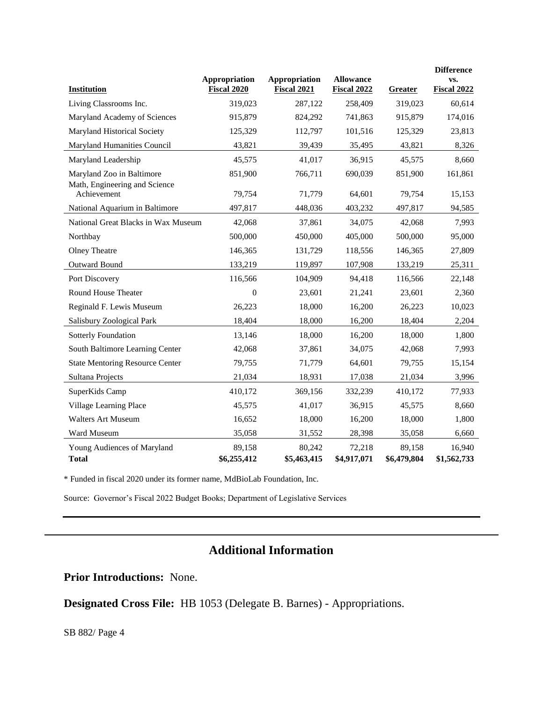| <b>Institution</b>                           | Appropriation<br>Fiscal 2020 | <b>Appropriation</b><br>Fiscal 2021 | <b>Allowance</b><br><b>Fiscal 2022</b> | Greater               | <b>Difference</b><br>VS.<br><b>Fiscal 2022</b> |
|----------------------------------------------|------------------------------|-------------------------------------|----------------------------------------|-----------------------|------------------------------------------------|
| Living Classrooms Inc.                       | 319,023                      | 287,122                             | 258,409                                | 319,023               | 60,614                                         |
| Maryland Academy of Sciences                 | 915,879                      | 824,292                             | 741,863                                | 915,879               | 174,016                                        |
| Maryland Historical Society                  | 125,329                      | 112,797                             | 101,516                                | 125,329               | 23,813                                         |
| Maryland Humanities Council                  | 43,821                       | 39,439                              | 35,495                                 | 43,821                | 8,326                                          |
| Maryland Leadership                          | 45,575                       | 41,017                              | 36,915                                 | 45,575                | 8,660                                          |
| Maryland Zoo in Baltimore                    | 851,900                      | 766,711                             | 690,039                                | 851,900               | 161,861                                        |
| Math, Engineering and Science<br>Achievement | 79,754                       | 71,779                              | 64,601                                 | 79,754                | 15,153                                         |
| National Aquarium in Baltimore               | 497,817                      | 448,036                             | 403,232                                | 497,817               | 94,585                                         |
| National Great Blacks in Wax Museum          | 42,068                       | 37,861                              | 34,075                                 | 42,068                | 7,993                                          |
| Northbay                                     | 500,000                      | 450,000                             | 405,000                                | 500,000               | 95,000                                         |
| <b>Olney Theatre</b>                         | 146,365                      | 131,729                             | 118,556                                | 146,365               | 27,809                                         |
| Outward Bound                                | 133,219                      | 119,897                             | 107,908                                | 133,219               | 25,311                                         |
| Port Discovery                               | 116,566                      | 104,909                             | 94,418                                 | 116,566               | 22,148                                         |
| Round House Theater                          | $\overline{0}$               | 23,601                              | 21,241                                 | 23,601                | 2,360                                          |
| Reginald F. Lewis Museum                     | 26,223                       | 18,000                              | 16,200                                 | 26,223                | 10,023                                         |
| Salisbury Zoological Park                    | 18,404                       | 18,000                              | 16,200                                 | 18,404                | 2,204                                          |
| Sotterly Foundation                          | 13,146                       | 18,000                              | 16,200                                 | 18,000                | 1,800                                          |
| South Baltimore Learning Center              | 42,068                       | 37,861                              | 34,075                                 | 42,068                | 7,993                                          |
| <b>State Mentoring Resource Center</b>       | 79,755                       | 71,779                              | 64,601                                 | 79,755                | 15,154                                         |
| Sultana Projects                             | 21,034                       | 18,931                              | 17,038                                 | 21,034                | 3,996                                          |
| SuperKids Camp                               | 410,172                      | 369,156                             | 332,239                                | 410,172               | 77,933                                         |
| Village Learning Place                       | 45,575                       | 41,017                              | 36,915                                 | 45,575                | 8,660                                          |
| <b>Walters Art Museum</b>                    | 16,652                       | 18,000                              | 16,200                                 | 18,000                | 1,800                                          |
| Ward Museum                                  | 35,058                       | 31,552                              | 28,398                                 | 35,058                | 6,660                                          |
| Young Audiences of Maryland<br><b>Total</b>  | 89,158<br>\$6,255,412        | 80,242<br>\$5,463,415               | 72,218<br>\$4,917,071                  | 89,158<br>\$6,479,804 | 16,940<br>\$1,562,733                          |

\* Funded in fiscal 2020 under its former name, MdBioLab Foundation, Inc.

Source: Governor's Fiscal 2022 Budget Books; Department of Legislative Services

# **Additional Information**

**Prior Introductions:** None.

**Designated Cross File:** HB 1053 (Delegate B. Barnes) - Appropriations.